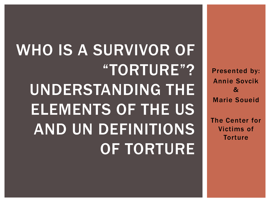Presented by: Annie Sovcik & Marie Soueid

The Center for Victims of **Torture** 

# WHO IS A SURVIVOR OF "TORTURE"? UNDERSTANDING THE ELEMENTS OF THE US AND UN DEFINITIONS OF TORTURE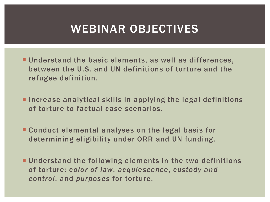#### WEBINAR OBJECTIVES

- Understand the basic elements, as well as differences, between the U.S. and UN definitions of torture and the refugee definition.
- **Increase analytical skills in applying the legal definitions** of torture to factual case scenarios.
- **Conduct elemental analyses on the legal basis for** determining eligibility under ORR and UN funding.
- Understand the following elements in the two definitions of torture: *color of law*, *acquiescence*, *custody and control*, and *purposes* for torture.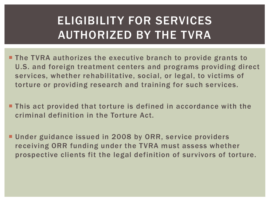# ELIGIBILITY FOR SERVICES AUTHORIZED BY THE TVRA

- **The TVRA authorizes the executive branch to provide grants to** U.S. and foreign treatment centers and programs providing direct services, whether rehabilitative, social, or legal, to victims of torture or providing research and training for such services.
- This act provided that torture is defined in accordance with the criminal definition in the Torture Act.
- **Under guidance issued in 2008 by ORR, service providers** receiving ORR funding under the TVRA must assess whether prospective clients fit the legal definition of survivors of torture.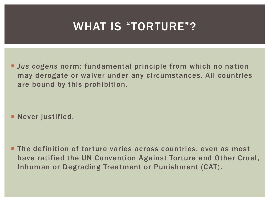#### WHAT IS "TORTURE"?

 *Jus cogens* norm: fundamental principle from which no nation may derogate or waiver under any circumstances. All countries are bound by this prohibition.

**Never justified.** 

**The definition of torture varies across countries, even as most** have ratified the UN Convention Against Torture and Other Cruel, Inhuman or Degrading Treatment or Punishment (CAT).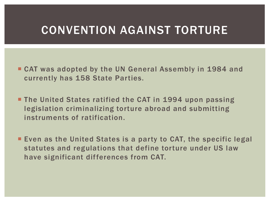#### CONVENTION AGAINST TORTURE

- CAT was adopted by the UN General Assembly in 1984 and currently has 158 State Parties.
- **The United States ratified the CAT in 1994 upon passing** legislation criminalizing torture abroad and submitting instruments of ratification.
- **Even as the United States is a party to CAT, the specific legal** statutes and regulations that define torture under US law have significant differences from CAT.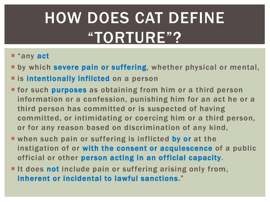# HOW DOES CAT DEFINE "TORTURE"?

#### ■ "any act

**E** by which severe pain or suffering, whether physical or mental,

- **Example 1 is intentionally inflicted on a person**
- **Firm 6 Is 19 Is 10 Is 10 Is 10 Is 10 Is 10 Is 10 Is 10 Is 10 Is 10 Is 10 Is 10 Is 10 Is 10 Is 10 Is 10 Is 10 I** information or a confession, punishing him for an act he or a third person has committed or is suspected of having committed, or intimidating or coercing him or a third person, or for any reason based on discrimination of any kind,
- when such pain or suffering is inflicted by or at the instigation of or with the consent or acquiescence of a public official or other person acting in an official capacity.
- It does not include pain or suffering arising only from, inherent or incidental to lawful sanctions."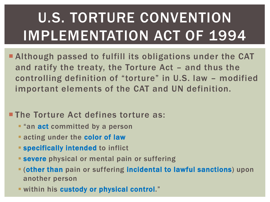# U.S. TORTURE CONVENTION IMPLEMENTATION ACT OF 1994

 Although passed to fulfill its obligations under the CAT and ratify the treaty, the Torture Act – and thus the controlling definition of "torture" in U.S. law – modified important elements of the CAT and UN definition.

#### **The Torture Act defines torture as:**

- **F** "an **act** committed by a person
- **Example 2 Fig. 2 Fig. 2 Fig. 7 Fig. 7 Fig. 7 Fig. 7 Fig. 7 Fig. 7 Fig. 7 Fig. 7 Fig. 7 Fig. 7 Fig. 7 Fig. 7 Fig. 7 Fig. 7 Fig. 7 Fig. 7 Fig. 7 Fig. 7 Fig. 7 Fig. 7 Fig. 7 Fig. 7 Fig. 7 Fig. 7 Fig. 7 Fig. 7 Fig. 7 Fig. 7 F**
- **Specifically intended to inflict**
- **Severe** physical or mental pain or suffering
- (other than pain or suffering incidental to lawful sanctions) upon another person
- within his custody or physical control."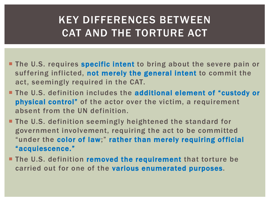#### KEY DIFFERENCES BETWEEN CAT AND THE TORTURE ACT

- **The U.S. requires specific intent to bring about the severe pain or** suffering inflicted, not merely the general intent to commit the act, seemingly required in the CAT.
- **The U.S. definition includes the additional element of "custody or** physical control" of the actor over the victim, a requirement absent from the UN definition.
- **The U.S. definition seemingly heightened the standard for** government involvement, requiring the act to be committed "under the color of law;" rather than merely requiring official "acquiescence."
- **The U.S. definition removed the requirement** that torture be carried out for one of the various enumerated purposes.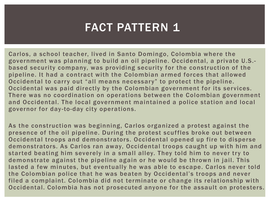### FACT PATTERN 1

Carlos, a school teacher, lived in Santo Domingo, Colombia where the government was planning to build an oil pipeline. Occidental, a private U.S. based security company, was providing security for the construction of the pipeline. It had a contract with the Colombian armed forces that allowed Occidental to carry out "all means necessary" to protect the pipeline. Occidental was paid directly by the Colombian government for its services. There was no coordination on operations between the Colombian government and Occidental. The local government maintained a police station and local governor for day -to-day city operations.

As the construction was beginning, Carlos organized a protest against the presence of the oil pipeline. During the protest scuffles broke out between Occidental troops and demonstrators. Occidental opened up fire to disperse demonstrators. As Carlos ran away, Occidental troops caught up with him and started beating him severely in a small alley. They told him to never try to demonstrate against the pipeline again or he would be thrown in jail. This lasted a few minutes, but eventually he was able to escape. Carlos never told the Colombian police that he was beaten by Occidental's troops and never filed a complaint. Colombia did not terminate or change its relationship with Occidental. Colombia has not prosecuted anyone for the assault on protesters.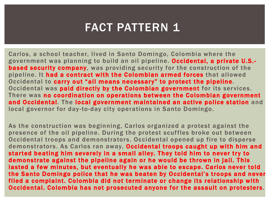### FACT PATTERN 1

Carlos, a school teacher, lived in Santo Domingo, Colombia where the government was planning to build an oil pipeline. Occidental, a private U.S. based security company, was providing security for the construction of the pipeline. It had a contract with the Colombian armed forces that allowed Occidental to carry out "all means necessary" to protect the pipeline. Occidental was paid directly by the Colombian government for its services. There was no coordination on operations between the Colombian government and Occidental. The local government maintained an active police station and local governor for day -to-day city operations in Santo Domingo.

As the construction was beginning, Carlos organized a protest against the presence of the oil pipeline. During the protest scuffles broke out between Occidental troops and demonstrators. Occidental opened up fire to disperse demonstrators. As Carlos ran away, Occidental troops caught up with him and started beating him severely in a small alley. They told him to never try to demonstrate against the pipeline again or he would be thrown in jail. This lasted a few minutes, but eventually he was able to escape. Carlos never told the Santo Domingo police that he was beaten by Occidental's troops and never filed a complaint. Colombia did not terminate or change its relationship with Occidental. Colombia has not prosecuted anyone for the assault on protesters.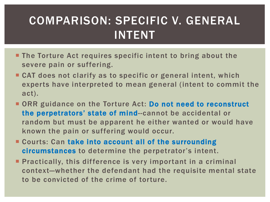## COMPARISON: SPECIFIC V. GENERAL INTENT

- **The Torture Act requires specific intent to bring about the** severe pain or suffering.
- CAT does not clarify as to specific or general intent, which experts have interpreted to mean general (intent to commit the act).
- **ORR** guidance on the Torture Act: Do not need to reconstruct the perpetrators' state of mind--cannot be accidental or random but must be apparent he either wanted or would have known the pain or suffering would occur.
- **E** Courts: Can take into account all of the surrounding circumstances to determine the perpetrator's intent.
- **Practically, this difference is very important in a criminal** context—whether the defendant had the requisite mental state to be convicted of the crime of torture.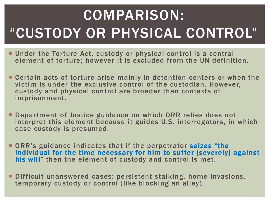# COMPARISON: "CUSTODY OR PHYSICAL CONTROL"

- **Under the Torture Act, custody or physical control is a central** element of torture; however it is excluded from the UN definition.
- Certain acts of torture arise mainly in detention centers or when the victim is under the exclusive control of the custodian. However, custody and physical control are broader than contexts of imprisonment.
- **Department of Justice guidance on which ORR relies does not** interpret this element because it guides U.S. interrogators, in which case custody is presumed.
- **ORR's guidance indicates that if the perpetrator seizes "the** individual for the time necessary for him to suffer [severely] against his will" then the element of custody and control is met.
- Difficult unanswered cases: persistent stalking, home invasions, temporary custody or control (like blocking an alley).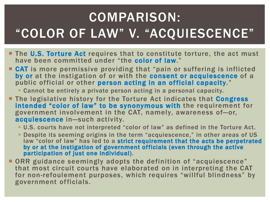# COMPARISON: "COLOR OF LAW" V. "ACQUIESCENCE"

- **The U.S. Torture Act** requires that to constitute torture, the act must have been committed under "the color of law."
- **CAT** is more permissive providing that "pain or suffering is inflicted by or at the instigation of or with the consent or acquiescence of a public official or other person acting in an official capacity."
	- Cannot be entirely a private person acting in a personal capacity.
- **The legislative history for the Torture Act indicates that Congress** intended "color of law" to be synonymous with the requirement for government involvement in the CAT, namely, awareness of—or, acquiescence in—such activity.
	- U.S. courts have not interpreted "color of law" as defined in the Torture Act.
	- Despite its seeming origins in the term "acquiescence," in other areas of US law "color of law" has led to a strict requirement that the acts be perpetrated by or at the instigation of government officials (even through the active participation of just one individual).
- **ORR** guidance seemingly adopts the definition of "acquiescence" that most circuit courts have elaborated on in interpreting the CAT for non-refoulement purposes, which requires "willful blindness" by government officials.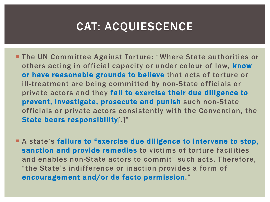#### CAT: ACQUIESCENCE

- **The UN Committee Against Torture: "Where State authorities or** others acting in official capacity or under colour of law, know or have reasonable grounds to believe that acts of torture or ill-treatment are being committed by non-State officials or private actors and they fail to exercise their due diligence to prevent, investigate, prosecute and punish such non-State officials or private actors consistently with the Convention, the State bears responsibility[.]"
- **A** state's failure to "exercise due diligence to intervene to stop, sanction and provide remedies to victims of torture facilities and enables non-State actors to commit" such acts. Therefore, "the State's indifference or inaction provides a form of encouragement and/or de facto permission."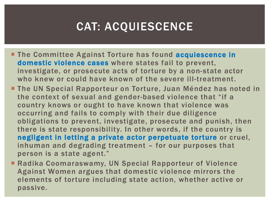### CAT: ACQUIESCENCE

- **The Committee Against Torture has found acquiescence in** domestic violence cases where states fail to prevent, investigate, or prosecute acts of torture by a non-state actor who knew or could have known of the severe ill-treatment.
- **The UN Special Rapporteur on Torture, Juan Méndez has noted in** the context of sexual and gender-based violence that "if a country knows or ought to have known that violence was occurring and fails to comply with their due diligence obligations to prevent, investigate, prosecute and punish, then there is state responsibility. In other words, if the country is negligent in letting a private actor perpetuate torture or cruel, inhuman and degrading treatment – for our purposes that person is a state agent."
- Radika Coomaraswamy, UN Special Rapporteur of Violence Against Women argues that domestic violence mirrors the elements of torture including state action, whether active or passive.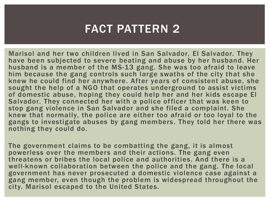#### FACT PATTERN 2

Marisol and her two children lived in San Salvador, El Salvador. They have been subjected to severe beating and abuse by her husband. Her husband is a member of the MS-13 gang. She was too afraid to leave him because the gang controls such large swaths of the city that she knew he could find her anywhere. After years of consistent abuse, she sought the help of a NGO that operates underground to assist victims of domestic abuse, hoping they could help her and her kids escape El Salvador. They connected her with a police officer that was keen to stop gang violence in San Salvador and she filed a complaint. She knew that normally, the police are either too afraid or too loyal to the gangs to investigate abuses by gang members. They told her there was nothing they could do.

The government claims to be combatting the gang, it is almost powerless over the members and their actions. The gang even threatens or bribes the local police and authorities. And there is a well-known collaboration between the police and the gang. The local government has never prosecuted a domestic violence case against a gang member, even though the problem is widespread throughout the city. Marisol escaped to the United States.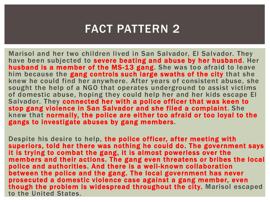#### FACT PATTERN 2

Marisol and her two children lived in San Salvador, El Salvador. They have been subjected to severe beating and abuse by her husband. Her husband is a member of the MS-13 gang. She was too afraid to leave him because the gang controls such large swaths of the city that she knew he could find her anywhere. After years of consistent abuse, she sought the help of a NGO that operates underground to assist victims of domestic abuse, hoping they could help her and her kids escape El Salvador. They connected her with a police officer that was keen to stop gang violence in San Salvador and she filed a complaint. She knew that normally, the police are either too afraid or too loyal to the gangs to investigate abuses by gang members.

Despite his desire to help, the police officer, after meeting with superiors, told her there was nothing he could do. The government says it is trying to combat the gang, it is almost powerless over the members and their actions. The gang even threatens or bribes the local police and authorities. And there is a well-known collaboration between the police and the gang. The local government has never prosecuted a domestic violence case against a gang member, even though the problem is widespread throughout the city. Marisol escaped to the United States.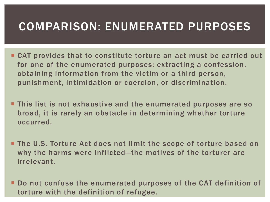#### COMPARISON: ENUMERATED PURPOSES

- CAT provides that to constitute torture an act must be carried out for one of the enumerated purposes: extracting a confession, obtaining information from the victim or a third person, punishment, intimidation or coercion, or discrimination.
- **This list is not exhaustive and the enumerated purposes are so** broad, it is rarely an obstacle in determining whether torture occurred.
- **The U.S. Torture Act does not limit the scope of torture based on** why the harms were inflicted—the motives of the torturer are irrelevant.
- Do not confuse the enumerated purposes of the CAT definition of torture with the definition of refugee.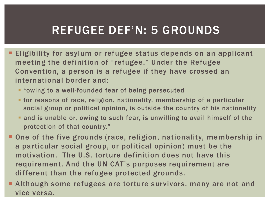### REFUGEE DEF'N: 5 GROUNDS

- **Eligibility for asylum or refugee status depends on an applicant** meeting the definition of "refugee." Under the Refugee Convention, a person is a refugee if they have crossed an international border and:
	- **T** "owing to a well-founded fear of being persecuted
	- for reasons of race, religion, nationality, membership of a particular social group or political opinion, is outside the country of his nationality
	- and is unable or, owing to such fear, is unwilling to avail himself of the protection of that country."
- One of the five grounds (race, religion, nationality, membership in a particular social group, or political opinion) must be the motivation. The U.S. torture definition does not have this requirement. And the UN CAT's purposes requirement are different than the refugee protected grounds.
- **Although some refugees are torture survivors, many are not and** vice versa.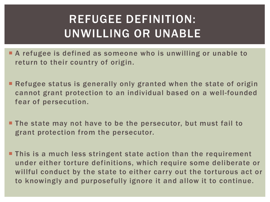## REFUGEE DEFINITION: UNWILLING OR UNABLE

- A refugee is defined as someone who is unwilling or unable to return to their country of origin.
- Refugee status is generally only granted when the state of origin cannot grant protection to an individual based on a well-founded fear of persecution.
- **The state may not have to be the persecutor, but must fail to** grant protection from the persecutor.
- **This is a much less stringent state action than the requirement** under either torture definitions, which require some deliberate or willful conduct by the state to either carry out the torturous act or to knowingly and purposefully ignore it and allow it to continue.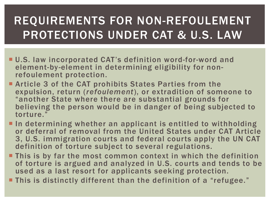# REQUIREMENTS FOR NON-REFOULEMENT PROTECTIONS UNDER CAT & U.S. LAW

I

- U.S. law incorporated CAT's definition word-for-word and element-by-element in determining eligibility for non- refoulement protection.
- **Example 3 of the CAT prohibits States Parties from the** expulsion, return (*refoulement*), or extradition of someone to "another State where there are substantial grounds for believing the person would be in danger of being subjected to torture."
- In determining whether an applicant is entitled to withholding or deferral of removal from the United States under CAT Article 3, U.S. immigration courts and federal courts apply the UN CAT definition of torture subject to several regulations.
- **This is by far the most common context in which the definition** of torture is argued and analyzed in U.S. courts and tends to be used as a last resort for applicants seeking protection.
- **This is distinctly different than the definition of a "refugee."**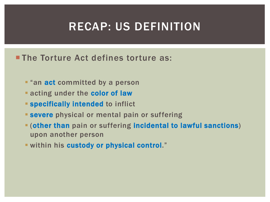#### RECAP: US DEFINITION

#### **The Torture Act defines torture as:**

- **F** "an **act** committed by a person
- **Example 2 and 3 and 2 arms in the color of law**
- **Specifically intended to inflict**
- **Severe** physical or mental pain or suffering
- (other than pain or suffering incidental to lawful sanctions) upon another person
- **E** within his custody or physical control."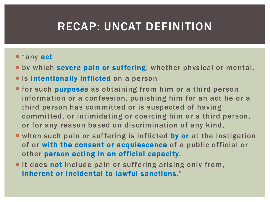#### RECAP: UNCAT DEFINITION

#### ■ "any act

- **E** by which severe pain or suffering, whether physical or mental,
- **E** is intentionally inflicted on a person
- **Firm 6 Is 19 Is 19 Is 19 Is 19 Is 19 Is 19 Is 19 Is 19 Is 19 Is 19 Is 19 Is 19 Is 19 Is 19 Is 19 Is 19 Is 19 I** information or a confession, punishing him for an act he or a third person has committed or is suspected of having committed, or intimidating or coercing him or a third person, or for any reason based on discrimination of any kind,
- when such pain or suffering is inflicted by or at the instigation of or with the consent or acquiescence of a public official or other person acting in an official capacity.
- It does not include pain or suffering arising only from, inherent or incidental to lawful sanctions."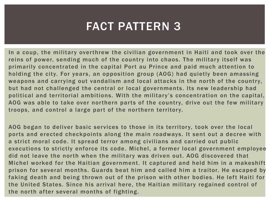### FACT PATTERN 3

In a coup, the military overthrew the civilian government in Haiti and took over the reins of power, sending much of the country into chaos. The military itself was primarily concentrated in the capital Port au Prince and paid much attention to holding the city. For years, an opposition group (AOG) had quietly been amassing weapons and carrying out vandalism and local attacks in the north of the country, but had not challenged the central or local governments. Its new leadership had political and territorial ambitions. With the military's concentration on the capital, AOG was able to take over northern parts of the country, drive out the few military troops, and control a large part of the northern territory.

AOG began to deliver basic services to those in its territory, took over the local ports and erected checkpoints along the main roadways. It sent out a decree with a strict moral code. It spread terror among civilians and carried out public executions to strictly enforce its code. Michel, a former local government employee did not leave the north when the military was driven out. AOG discovered that Michel worked for the Haitian government. It captured and held him in a makeshift prison for several months. Guards beat him and called him a traitor. He escaped by faking death and being thrown out of the prison with other bodies. He left Haiti for the United States. Since his arrival here, the Haitian military regained control of the north after several months of fighting.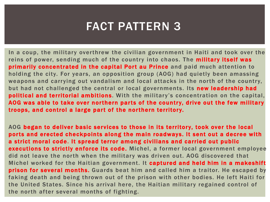#### FACT PATTERN 3

In a coup, the military overthrew the civilian government in Haiti and took over the reins of power, sending much of the country into chaos. The military itself was primarily concentrated in the capital Port au Prince and paid much attention to holding the city. For years, an opposition group (AOG) had quietly been amassing weapons and carrying out vandalism and local attacks in the north of the country, but had not challenged the central or local governments. Its new leadership had political and territorial ambitions. With the military's concentration on the capital, AOG was able to take over northern parts of the country, drive out the few military troops, and control a large part of the northern territory.

AOG began to deliver basic services to those in its territory, took over the local ports and erected checkpoints along the main roadways. It sent out a decree with a strict moral code. It spread terror among civilians and carried out public executions to strictly enforce its code. Michel, a former local government employee did not leave the north when the military was driven out. AOG discovered that Michel worked for the Haitian government. It captured and held him in a makeshift prison for several months. Guards beat him and called him a traitor. He escaped by faking death and being thrown out of the prison with other bodies. He left Haiti for the United States. Since his arrival here, the Haitian military regained control of the north after several months of fighting.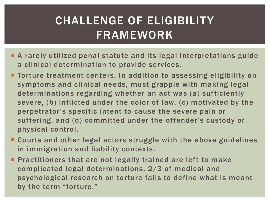## CHALLENGE OF ELIGIBILITY FRAMEWORK

- A rarely utilized penal statute and its legal interpretations guide a clinical determination to provide services.
- **Torture treatment centers, in addition to assessing eligibility on** symptoms and clinical needs, must grapple with making legal determinations regarding whether an act was (a) sufficiently severe, (b) inflicted under the color of law, (c) motivated by the perpetrator's specific intent to cause the severe pain or suffering, and (d) committed under the offender's custody or physical control.
- Courts and other legal actors struggle with the above guidelines in immigration and liability contexts.
- **Practitioners that are not legally trained are left to make** complicated legal determinations. 2/3 of medical and psychological research on torture fails to define what is meant by the term "torture."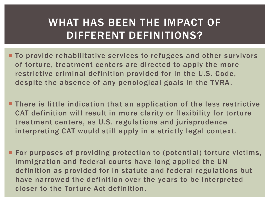#### WHAT HAS BEEN THE IMPACT OF DIFFERENT DEFINITIONS?

- **To provide rehabilitative services to refugees and other survivors** of torture, treatment centers are directed to apply the more restrictive criminal definition provided for in the U.S. Code, despite the absence of any penological goals in the TVRA.
- **There is little indication that an application of the less restrictive** CAT definition will result in more clarity or flexibility for torture treatment centers, as U.S. regulations and jurisprudence interpreting CAT would still apply in a strictly legal context.
- **For purposes of providing protection to (potential) torture victims,** immigration and federal courts have long applied the UN definition as provided for in statute and federal regulations but have narrowed the definition over the years to be interpreted closer to the Torture Act definition.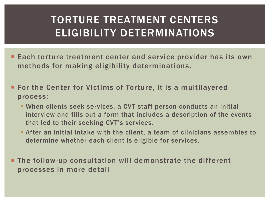#### TORTURE TREATMENT CENTERS ELIGIBILITY DETERMINATIONS

I

- **Each torture treatment center and service provider has its own** methods for making eligibility determinations.
- **For the Center for Victims of Torture, it is a multilayered** process:
	- When clients seek services, a CVT staff person conducts an initial interview and fills out a form that includes a description of the events that led to their seeking CVT's services.
	- After an initial intake with the client, a team of clinicians assembles to determine whether each client is eligible for services.

 The follow-up consultation will demonstrate the different processes in more detail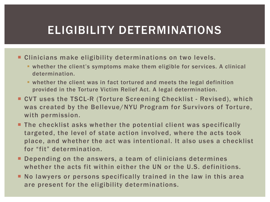### ELIGIBILITY DETERMINATIONS

- **EXTE:** Clinicians make eligibility determinations on two levels.
	- whether the client's symptoms make them eligible for services. A clinical determination.
	- whether the client was in fact tortured and meets the legal definition provided in the Torture Victim Relief Act. A legal determination.
- CVT uses the TSCL-R (Torture Screening Checklist Revised), which was created by the Bellevue/NYU Program for Survivors of Torture, with permission.
- **The checklist asks whether the potential client was specifically** targeted, the level of state action involved, where the acts took place, and whether the act was intentional. It also uses a checklist for "fit" determination.
- **Depending on the answers, a team of clinicians determines** whether the acts fit within either the UN or the U.S. definitions.
- No lawyers or persons specifically trained in the law in this area are present for the eligibility determinations.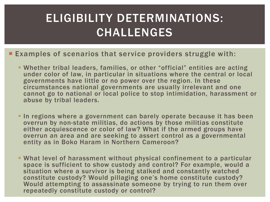## ELIGIBILITY DETERMINATIONS: CHALLENGES

- **Examples of scenarios that service providers struggle with:** 
	- Whether tribal leaders, families, or other "official" entities are acting under color of law, in particular in situations where the central or local governments have little or no power over the region. In these circumstances national governments are usually irrelevant and one cannot go to national or local police to stop intimidation, harassment or abuse by tribal leaders.
	- In regions where a government can barely operate because it has been overrun by non-state militias, do actions by those militias constitute either acquiescence or color of law? What if the armed groups have overrun an area and are seeking to assert control as a governmental entity as in Boko Haram in Northern Cameroon?
	- What level of harassment without physical confinement to a particular space is sufficient to show custody and control? For example, would a situation where a survivor is being stalked and constantly watched constitute custody? Would pillaging one's home constitute custody? Would attempting to assassinate someone by trying to run them over repeatedly constitute custody or control?